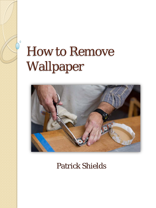$\overline{0}$ 



Patrick Shields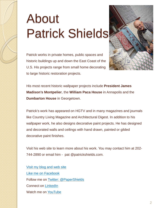# About Patrick Shields



Patrick works in private homes, public spaces and historic buildings up and down the East Coast of the U.S. His projects range from small home decorating to large historic restoration projects.

His most recent historic wallpaper projects include **President James Madison's Montpelier**, the **William Paca House** in Annapolis and the **Dumbarton House** in Georgetown.

Patrick's work has appeared on HGTV and in many magazines and journals like Country Living Magazine and Architectural Digest. In addition to his wallpaper work, he also designs decorative paint projects. He has designed and decorated walls and ceilings with hand drawn, painted or gilded decorative paint finishes.

Visit his web site to learn more about his work. You may contact him at 202- 744-2890 or email him - pat @patrickshields.com.

[Visit my blog and web site](http://www.patrickshields.com/)  [Like me on Facebook](http://www.facebook.com/PatrickShieldsDesign) Follow me on [Twitter: @PaperShields](http://www.twitter.com/papershields) Connect on [LinkedIn](http://www.linkedin.com/in/ShieldsDesign) Watch me on [YouTube](http://www.youtube.com/user/papershields)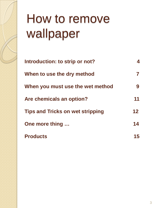| Introduction: to strip or not?          |         |
|-----------------------------------------|---------|
| When to use the dry method              |         |
| When you must use the wet method        |         |
| Are chemicals an option?                | 11      |
| <b>Tips and Tricks on wet stripping</b> | $12 \,$ |
| One more thing                          | 14      |
| <b>Products</b>                         | 15      |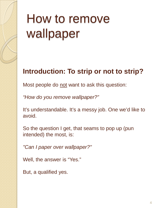#### **Introduction: To strip or not to strip?**

Most people do not want to ask this question:

*"How do you remove wallpaper?"*

It's understandable. It's a messy job. One we'd like to avoid.

So the question I get, that seams to pop up (pun intended) the most, is:

*"Can I paper over wallpaper?"*

Well, the answer is "Yes."

But, a qualified yes.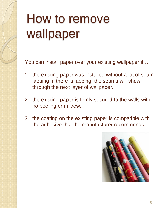You can install paper over your existing wallpaper if …

- 1. the existing paper was installed without a lot of seam lapping; if there is lapping, the seams will show through the next layer of wallpaper.
- 2. the existing paper is firmly secured to the walls with no peeling or mildew.
- 3. the coating on the existing paper is compatible with the adhesive that the manufacturer recommends.

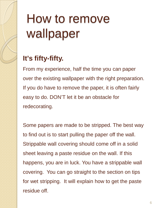#### **It's fifty-fifty.**

From my experience, half the time you can paper over the existing wallpaper with the right preparation. If you do have to remove the paper, it is often fairly easy to do. DON'T let it be an obstacle for redecorating.

Some papers are made to be stripped. The best way to find out is to start pulling the paper off the wall. Strippable wall covering should come off in a solid sheet leaving a paste residue on the wall. If this happens, you are in luck. You have a strippable wall covering. You can go straight to the section on tips for wet stripping. It will explain how to get the paste residue off.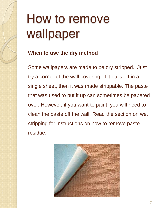#### **When to use the dry method**

Some wallpapers are made to be dry stripped. Just try a corner of the wall covering. If it pulls off in a single sheet, then it was made strippable. The paste that was used to put it up can sometimes be papered over. However, if you want to paint, you will need to clean the paste off the wall. Read the section on wet stripping for instructions on how to remove paste residue.

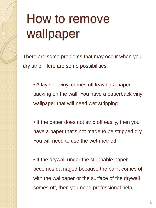There are some problems that may occur when you dry strip. Here are some possibilities:

• A layer of vinyl comes off leaving a paper backing on the wall. You have a paperback vinyl wallpaper that will need wet stripping.

• If the paper does not strip off easily, then you have a paper that's not made to be stripped dry. You will need to use the wet method.

• If the drywall under the strippable paper becomes damaged because the paint comes off with the wallpaper or the surface of the drywall comes off, then you need professional help.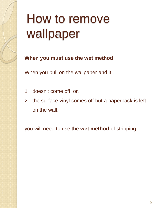**When you must use the wet method**

When you pull on the wallpaper and it ...

- 1. doesn't come off, or,
- 2. the surface vinyl comes off but a paperback is left on the wall,

you will need to use the **wet method** of stripping.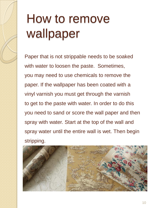Paper that is not strippable needs to be soaked with water to loosen the paste. Sometimes, you may need to use chemicals to remove the paper. If the wallpaper has been coated with a vinyl varnish you must get through the varnish to get to the paste with water. In order to do this you need to sand or score the wall paper and then spray with water. Start at the top of the wall and spray water until the entire wall is wet. Then begin stripping.

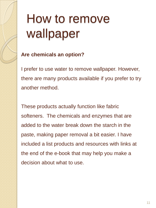#### **Are chemicals an option?**

I prefer to use water to remove wallpaper. However, there are many products available if you prefer to try another method.

These products actually function like fabric softeners. The chemicals and enzymes that are added to the water break down the starch in the paste, making paper removal a bit easier. I have included a list products and resources with links at the end of the e-book that may help you make a decision about what to use.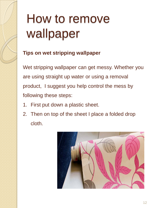#### **Tips on wet stripping wallpaper**

Wet stripping wallpaper can get messy. Whether you are using straight up water or using a removal product, I suggest you help control the mess by following these steps:

- 1. First put down a plastic sheet.
- 2. Then on top of the sheet I place a folded drop cloth.

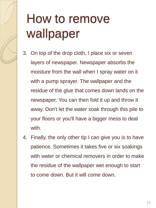- 3. On top of the drop cloth, I place six or seven layers of newspaper. Newspaper absorbs the moisture from the wall when I spray water on it with a pump sprayer. The wallpaper and the residue of the glue that comes down lands on the newspaper. You can then fold it up and throw it away. Don't let the water soak through this pile to your floors or you'll have a bigger mess to deal with.
- 4. Finally, the only other tip I can give you is to have patience. Sometimes it takes five or six soakings with water or chemical removers in order to make the residue of the wallpaper wet enough to start to come down. But it will come down.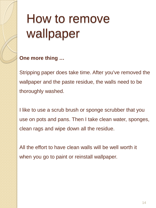**One more thing …**

Stripping paper does take time. After you've removed the wallpaper and the paste residue, the walls need to be thoroughly washed.

I like to use a scrub brush or sponge scrubber that you use on pots and pans. Then I take clean water, sponges, clean rags and wipe down all the residue.

All the effort to have clean walls will be well worth it when you go to paint or reinstall wallpaper.